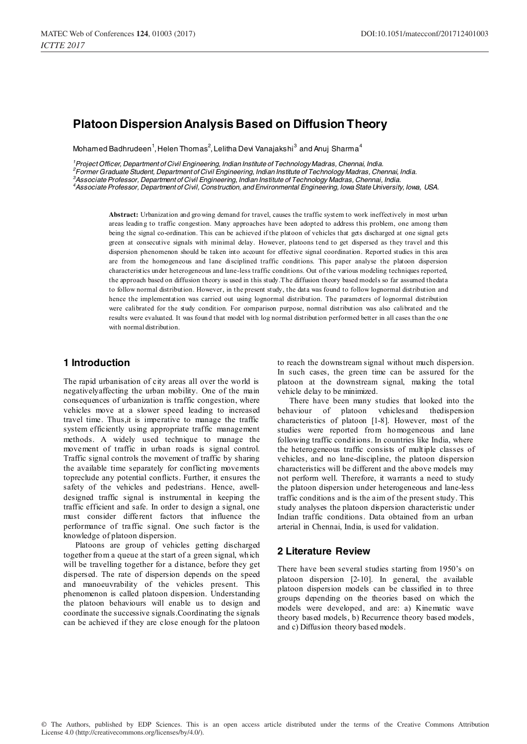# **Platoon Dispersion Analysis Based on Diffusion Theory**

Mohamed Badhrudeen $^1$ , Helen Thomas $^2$ , Lelitha Devi Vanajakshi $^3$  and Anuj Sharma $^4$ 

 *Project Officer, Department of Civil Engineering, Indian Institute of Technology Madras, Chennai, India. Former Graduate Student, Department of Civil Engineering, Indian Institute of Technology Madras, Chennai, India. Associate Professor, Department of Civil Engineering, Indian Institute of Technology Madras, Chennai, India. Associate Professor, Department of Civil, Construction, and Environmental Engineering, Iowa State University, Iowa, USA.* 

**Abstract:** Urbanization and gro wing demand for travel, causes the traffic system to work ineffectively in most urban areas leadin g to traffic congestion. Many approaches have been adopted to address this problem, one among them being the signal co-ordination. This can be achieved if the platoon of vehicles that gets discharged at one signal gets green at consecutive signals with minimal delay. However, platoons tend to get dispersed as they travel and this dispersion phenomenon should be taken into account for effective signal coordination. Reported studies in this area are from the homogeneous and lane disciplined traffic conditions. This paper analyse the platoon dispersion characteristics under heterogeneous and lane-less traffic conditions. Out of the various modeling techniques reported, the approach based on diffusion theory is used in this study.The diffusion theory based models so far assumed thedata to follow normal distribution. However, in the present study, the data was found to follow lognormal distribution and hence the implementation was carried out using lognormal distribution. The parameters of lognormal distribution were calibrated for the study condition. For comparison purpose, normal distribution was also calibrated and the results were evaluated. It was foun d that model with log normal distribution performed better in all cases than the o ne with normal distribution.

#### **1 Introduction**

The rapid urbanisation of city areas all over the world is negativelyaffecting the urban mobility. One of the main consequences of urbanization is traffic congestion, where vehicles move at a slower speed leading to increased travel time. Thus,it is imperative to manage the traffic system efficiently using appropriate traffic management methods. A widely used technique to manage the movement of traffic in urban roads is signal control. Traffic signal controls the movement of traffic by sharing the available time separately for conflicting movements topreclude any potential conflicts. Further, it ensures the safety of the vehicles and pedestrians. Hence, awelldesigned traffic signal is instrumental in keeping the traffic efficient and safe. In order to design a signal, one must consider different factors that influence the performance of traffic signal. One such factor is the knowledge of platoon dispersion.

Platoons are group of vehicles getting discharged together from a queue at the start of a green signal, which will be travelling together for a distance, before they get dispersed. The rate of dispersion depends on the speed and manoeuvrability of the vehicles present. This phenomenon is called platoon dispersion. Understanding the platoon behaviours will enable us to design and coordinate the successive signals.Coordinating the signals can be achieved if they are close enough for the platoon

to reach the downstream signal without much dispersion. In such cases, the green time can be assured for the platoon at the downstream signal, making the total vehicle delay to be minimized.

There have been many studies that looked into the behaviour of platoon vehiclesand thedispersion characteristics of platoon [1-8]. However, most of the studies were reported from homogeneous and lane following traffic conditions. In countries like India, where the heterogeneous traffic consists of multiple classes of vehicles, and no lane-discipline, the platoon dispersion characteristics will be different and the above models may not perform well. Therefore, it warrants a need to study the platoon dispersion under heterogeneous and lane-less traffic conditions and is the aim of the present study. This study analyses the platoon dispersion characteristic under Indian traffic conditions. Data obtained from an urban arterial in Chennai, India, is used for validation.

## **2 Literature Review**

There have been several studies starting from 1950's on platoon dispersion [2-10]. In general, the available platoon dispersion models can be classified in to three groups depending on the theories based on which the models were developed, and are: a) Kinematic wave theory based models, b) Recurrence theory based models, and c) Diffusion theory based models.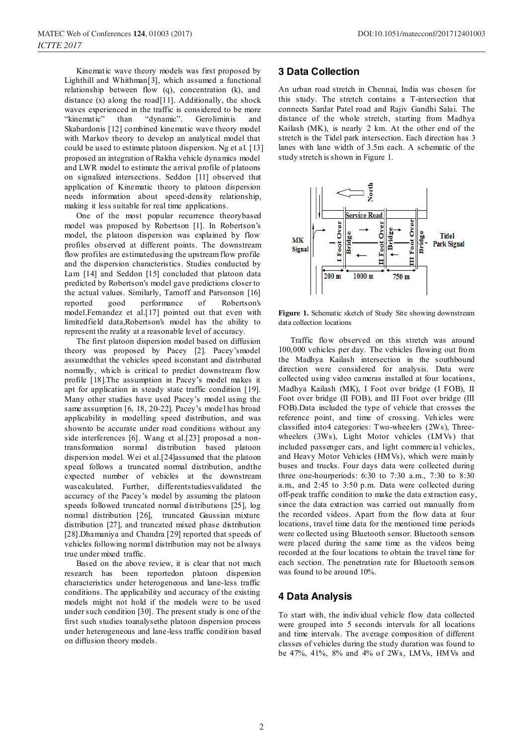Kinematic wave theory models was first proposed by Lighthill and Whithman[3], which assumed a functional relationship between flow (q), concentration (k), and distance (x) along the road[11]. Additionally, the shock waves experienced in the traffic is considered to be more "kinematic" than "dynamic". Geroliminis and Skabardonis [12] combined kinematic wave theory model with Markov theory to develop an analytical model that could be used to estimate platoon dispersion. Ng et al. [13] proposed an integration of Rakha vehicle dynamics model and LWR model to estimate the arrival profile of platoons on signalized intersections. Seddon [11] observed that application of Kinematic theory to platoon dispersion needs information about speed-density relationship, making it less suitable for real time applications.

One of the most popular recurrence theorybased model was proposed by Robertson [1]. In Robertson's model, the platoon dispersion was explained by flow profiles observed at different points. The downstream flow profiles are estimatedusing the upstream flow profile and the dispersion characteristics. Studies conducted by Lam [14] and Seddon [15] concluded that platoon data predicted by Robertson's model gave predictions closer to the actual values. Similarly, Tarnoff and Parsonson [16] reported good performance of Robertson's model.Fernandez et al.[17] pointed out that even with limitedfield data,Robertson's model has the ability to represent the reality at a reasonable level of accuracy.

The first platoon dispersion model based on diffusion theory was proposed by Pacey [2]. Pacey'smodel assumedthat the vehicles speed isconstant and distributed normally, which is critical to predict downstream flow profile [18].The assumption in Pacey's model makes it apt for application in steady state traffic condition [19]. Many other studies have used Pacey's model using the same assumption [6, 18, 20-22]. Pacey's model has broad applicability in modelling speed distribution, and was shownto be accurate under road conditions without any side interferences [6]. Wang et al.[23] proposed a nontransformation normal distribution based platoon dispersion model. Wei et al.[24]assumed that the platoon speed follows a truncated normal distribution, andthe expected number of vehicles at the downstream wascalculated. Further, differentstudiesvalidated the accuracy of the Pacey's model by assuming the platoon speeds followed truncated normal distributions [25], log normal distribution [26], truncated Gaussian mixture distribution [27], and truncated mixed phase distribution [28].Dhamaniya and Chandra [29] reported that speeds of vehicles following normal distribution may not be always true under mixed traffic.

Based on the above review, it is clear that not much research has been reportedon platoon dispersion characteristics under heterogeneous and lane-less traffic conditions. The applicability and accuracy of the existing models might not hold if the models were to be used under such condition [30]. The present study is one of the first such studies toanalysethe platoon dispersion process under heterogeneous and lane-less traffic condition based on diffusion theory models.

#### **3 Data Collection**

An urban road stretch in Chennai, India was chosen for this study. The stretch contains a T-intersection that connects Sardar Patel road and Rajiv Gandhi Salai. The distance of the whole stretch, starting from Madhya Kailash (MK), is nearly 2 km. At the other end of the stretch is the Tidel park intersection. Each direction has 3 lanes with lane width of 3.5m each. A schematic of the study stretch is shown in Figure 1.



**Figure 1.** Schematic sketch of Study Site showing downstream data collection locations

Traffic flow observed on this stretch was around 100,000 vehicles per day. The vehicles flowing out from the Madhya Kailash intersection in the southbound direction were considered for analysis. Data were collected using video cameras installed at four locations, Madhya Kailash (MK), I Foot over bridge (I FOB), II Foot over bridge (II FOB), and III Foot over bridge (III FOB).Data included the type of vehicle that crosses the reference point, and time of crossing. Vehicles were classified into4 categories: Two-wheelers (2Ws), Threewheelers (3Ws), Light Motor vehicles (LMVs) that included passenger cars, and light commercial vehicles, and Heavy Motor Vehicles (HMVs), which were mainly buses and trucks. Four days data were collected during three one-hourperiods: 6:30 to 7:30 a.m., 7:30 to 8:30 a.m., and 2:45 to 3:50 p.m. Data were collected during off-peak traffic condition to make the data extraction easy, since the data extraction was carried out manually from the recorded videos. Apart from the flow data at four locations, travel time data for the mentioned time periods were collected using Bluetooth sensor. Bluetooth sensors were placed during the same time as the videos being recorded at the four locations to obtain the travel time for each section. The penetration rate for Bluetooth sensors was found to be around 10%.

## **4 Data Analysis**

To start with, the individual vehicle flow data collected were grouped into 5 seconds intervals for all locations and time intervals. The average composition of different classes of vehicles during the study duration was found to be 47%, 41%, 8% and 4% of 2Ws, LMVs, HMVs and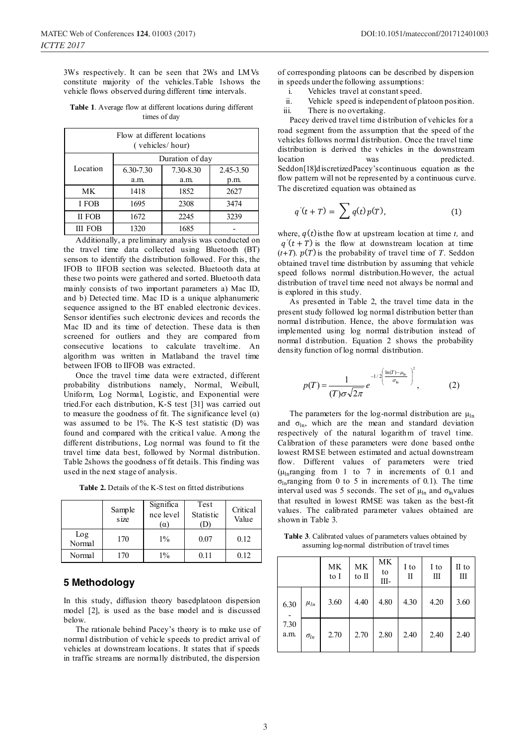3Ws respectively. It can be seen that 2Ws and LMVs constitute majority of the vehicles.Table 1shows the vehicle flows observed during different time intervals.

**Table 1**. Average flow at different locations during different times of day

| Flow at different locations<br>(vehicles/hour) |                      |           |           |  |  |  |
|------------------------------------------------|----------------------|-----------|-----------|--|--|--|
|                                                | Duration of day      |           |           |  |  |  |
| Location                                       | 6.30-7.30            | 7.30-8.30 | 2.45-3.50 |  |  |  |
|                                                | a.m.                 | a.m.      | p.m.      |  |  |  |
| МK                                             | 1852<br>1418<br>2627 |           |           |  |  |  |
| I FOB                                          | 1695                 | 2308      | 3474      |  |  |  |
| II FOB                                         | 1672<br>2245<br>3239 |           |           |  |  |  |
| 1320<br>1685<br><b>III FOB</b>                 |                      |           |           |  |  |  |

Additionally, a preliminary analysis was conducted on the travel time data collected using Bluetooth (BT) sensors to identify the distribution followed. For this, the IFOB to IIFOB section was selected. Bluetooth data at these two points were gathered and sorted. Bluetooth data mainly consists of two important parameters a) Mac ID, and b) Detected time. Mac ID is a unique alphanumeric sequence assigned to the BT enabled electronic devices. Sensor identifies such electronic devices and records the Mac ID and its time of detection. These data is then screened for outliers and they are compared from consecutive locations to calculate traveltime. An algorithm was written in Matlaband the travel time between IFOB to IIFOB was extracted.

Once the travel time data were extracted, different probability distributions namely, Normal, Weibull, Uniform, Log Normal, Logistic, and Exponential were tried.For each distribution, K-S test [31] was carried out to measure the goodness of fit. The significance level  $(\alpha)$ was assumed to be 1%. The K-S test statistic (D) was found and compared with the critical value. Among the different distributions, Log normal was found to fit the travel time data best, followed by Normal distribution. Table 2shows the goodness of fit details. This finding was used in the next stage of analysis.

**Table 2.** Details of the K-S test on fitted distributions

|               | Sample<br>size | Significa<br>nce level<br>$(\alpha)$ | Test<br>Statistic<br>D | Critical<br>Value |
|---------------|----------------|--------------------------------------|------------------------|-------------------|
| Log<br>Normal | 170            | $1\%$                                | 0.07                   | 0.12              |
| Normal        | 170            | $1\%$                                | 0.11                   | 0.12              |

#### **5 Methodology**

In this study, diffusion theory basedplatoon dispersion model [2], is used as the base model and is discussed below.

The rationale behind Pacey's theory is to make use of normal distribution of vehicle speeds to predict arrival of vehicles at downstream locations. It states that if speeds in traffic streams are normally distributed, the dispersion

of corresponding platoons can be described by dispersion in speeds under the following assumptions:

- i. Vehicles travel at constant speed.
- ii. Vehicle speed is independent of platoon position. iii. There is no overtaking.

Pacey derived travel time distribution of vehicles for a road segment from the assumption that the speed of the vehicles follows normal distribution. Once the travel time distribution is derived the vehicles in the downstream location was predicted. Seddon[18]discretizedPacey'scontinuous equation as the flow pattern will not be represented by a continuous curve. The discretized equation was obtained as

$$
q'(t+T) = \sum q(t)p(T), \qquad (1)
$$

where,  $q(t)$  is the flow at upstream location at time *t*, and  $q'(t+T)$  is the flow at downstream location at time  $(t+T)$ .  $p(T)$  is the probability of travel time of *T*. Seddon obtained travel time distribution by assuming that vehicle speed follows normal distribution.However, the actual distribution of travel time need not always be normal and is explored in this study.

As presented in Table 2, the travel time data in the present study followed log normal distribution better than normal distribution. Hence, the above formulation was implemented using log normal distribution instead of normal distribution. Equation 2 shows the probability density function of log normal distribution.

$$
p(T) = \frac{1}{(T)\sigma\sqrt{2\pi}} e^{-1/2\left(\frac{\ln(T) - \mu_{\rm h}}{\sigma_{\rm h}}\right)^2},
$$
 (2)

The parameters for the log-normal distribution are  $\mu_{\text{ln}}$ and  $\sigma_{\text{ln}}$ , which are the mean and standard deviation respectively of the natural logarithm of travel time. Calibration of these parameters were done based onthe lowest RMSE between estimated and actual downstream flow. Different values of parameters were tried  $(\mu_{\text{ln}}$ ranging from 1 to 7 in increments of 0.1 and  $\sigma_{\ln}$ ranging from 0 to 5 in increments of 0.1). The time interval used was 5 seconds. The set of  $\mu_{\text{ln}}$  and  $\sigma_{\text{ln}}$  values that resulted in lowest RMSE was taken as the best-fit values. The calibrated parameter values obtained are shown in Table 3.

**Table 3**. Calibrated values of parameters values obtained by assuming log-normal distribution of travel times

|              |               | MK<br>to I | MK<br>to II | МK<br>to<br>Ш- | I to<br>П | I to<br>Ш | II to<br>Ш |
|--------------|---------------|------------|-------------|----------------|-----------|-----------|------------|
| 6.30         | $\mu_{ln}$    | 3.60       | 4.40        | 4.80           | 4.30      | 4.20      | 3.60       |
| 7.30<br>a.m. | $\sigma_{ln}$ | 2.70       | 2.70        | 2.80           | 2.40      | 2.40      | 2.40       |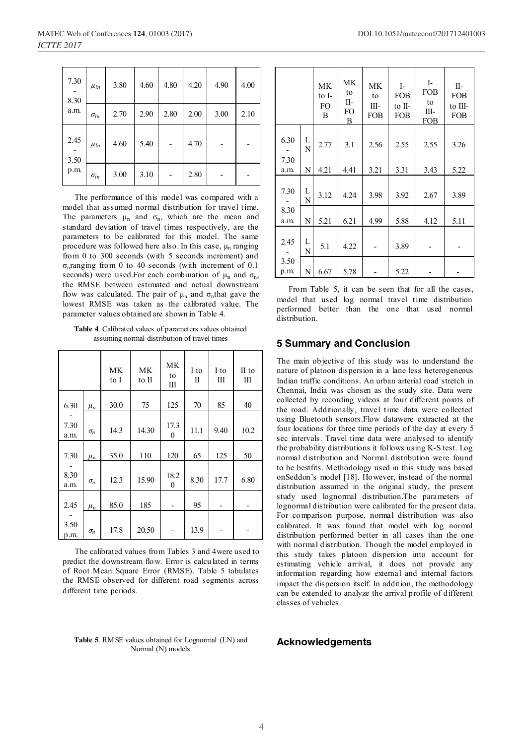| 7.30<br>8.30<br>a.m. | $\mu_{ln}$    | 3.80 | 4.60 | 4.80 | 4.20 | 4.90 | 4.00 |
|----------------------|---------------|------|------|------|------|------|------|
|                      | $\sigma_{ln}$ | 2.70 | 2.90 | 2.80 | 2.00 | 3.00 | 2.10 |
| 2.45<br>3.50         | $\mu_{ln}$    | 4.60 | 5.40 |      | 4.70 |      |      |
| p.m.                 | $\sigma_{ln}$ | 3.00 | 3.10 |      | 2.80 |      |      |

The performance of this model was compared with a model that assumed normal distribution for travel time. The parameters  $\mu_n$  and  $\sigma_n$ , which are the mean and standard deviation of travel times respectively, are the parameters to be calibrated for this model. The same procedure was followed here also. In this case,  $\mu_n$  ranging from 0 to 300 seconds (with 5 seconds increment) and  $\sigma_n$ ranging from 0 to 40 seconds (with increment of 0.1) seconds) were used. For each combination of  $\mu_n$  and  $\sigma_n$ , the RMSE between estimated and actual downstream flow was calculated. The pair of  $\mu_n$  and  $\sigma_n$ that gave the lowest RMSE was taken as the calibrated value. The parameter values obtained are shown in Table 4.

**Table 4**. Calibrated values of parameters values obtained assuming normal distribution of travel times

|              |            | <b>MK</b><br>to I | <b>MK</b><br>to II | <b>MK</b><br>to<br>Ш     | I to<br>П | I to<br>Ш | II to<br>Ш |
|--------------|------------|-------------------|--------------------|--------------------------|-----------|-----------|------------|
| 6.30         | $\mu_n$    | 30.0              | 75                 | 125                      | 70        | 85        | 40         |
| 7.30<br>a.m. | $\sigma_n$ | 14.3              | 14.30              | 17.3<br>$\boldsymbol{0}$ | 11.1      | 9.40      | 10.2       |
| 7.30         | $\mu_n$    | 35.0              | 110                | 120                      | 65        | 125       | 50         |
| 8.30<br>a.m. | $\sigma_n$ | 12.3              | 15.90              | 18.2<br>$\boldsymbol{0}$ | 8.30      | 17.7      | 6.80       |
| 2.45         | $\mu_n$    | 85.0              | 185                |                          | 95        |           |            |
| 3.50<br>p.m. | $\sigma_n$ | 17.8              | 20.50              |                          | 13.9      |           |            |

The calibrated values from Tables 3 and 4were used to predict the downstream flow. Error is calculated in terms of Root Mean Square Error (RMSE). Table 5 tabulates the RMSE observed for different road segments across different time periods.

| Table 5. RMSE values obtained for Lognormal (LN) and |  |
|------------------------------------------------------|--|
| Normal (N) models                                    |  |

|              |        | <b>MK</b><br>to I-<br>FO<br>B | MK<br>to<br>П-<br>FO<br>B | MK<br>to<br>Ш-<br><b>FOB</b> | $I-$<br><b>FOB</b><br>to II-<br><b>FOB</b> | $I-$<br><b>FOB</b><br>to<br>Ш-<br><b>FOB</b> | $II-$<br><b>FOB</b><br>to III-<br><b>FOB</b> |
|--------------|--------|-------------------------------|---------------------------|------------------------------|--------------------------------------------|----------------------------------------------|----------------------------------------------|
| 6.30         | L<br>N | 2.77                          | 3.1                       | 2.56                         | 2.55                                       | 2.55                                         | 3.26                                         |
| 7.30<br>a.m. | N      | 4.21                          | 4.41                      | 3.21                         | 3.31                                       | 3.43                                         | 5.22                                         |
| 7.30         | L<br>N | 3.12                          | 4.24                      | 3.98                         | 3.92                                       | 2.67                                         | 3.89                                         |
| 8.30<br>a.m. | N      | 5.21                          | 6.21                      | 4.99                         | 5.88                                       | 4.12                                         | 5.11                                         |
| 2.45         | L<br>N | 5.1                           | 4.22                      |                              | 3.89                                       |                                              |                                              |
| 3.50<br>p.m. | N      | 6.67                          | 5.78                      |                              | 5.22                                       |                                              |                                              |

From Table 5, it can be seen that for all the cases, model that used log normal travel time distribution performed better than the one that used normal distribution.

#### **5 Summary and Conclusion**

The main objective of this study was to understand the nature of platoon dispersion in a lane less heterogeneous Indian traffic conditions. An urban arterial road stretch in Chennai, India was chosen as the study site. Data were collected by recording videos at four different points of the road. Additionally, travel time data were collected using Bluetooth sensors.Flow datawere extracted at the four locations for three time periods of the day at every 5 sec intervals. Travel time data were analysed to identify the probability distributions it follows using K-S test. Log normal distribution and Normal distribution were found to be bestfits. Methodology used in this study was based onSeddon's model [18]. However, instead of the normal distribution assumed in the original study, the present study used lognormal distribution.The parameters of lognormal distribution were calibrated for the present data. For comparison purpose, normal distribution was also calibrated. It was found that model with log normal distribution performed better in all cases than the one with normal distribution. Though the model employed in this study takes platoon dispersion into account for estimating vehicle arrival, it does not provide any information regarding how external and internal factors impact the dispersion itself. In addition, the methodology can be extended to analyze the arrival profile of different classes of vehicles.

#### **Acknowledgements**